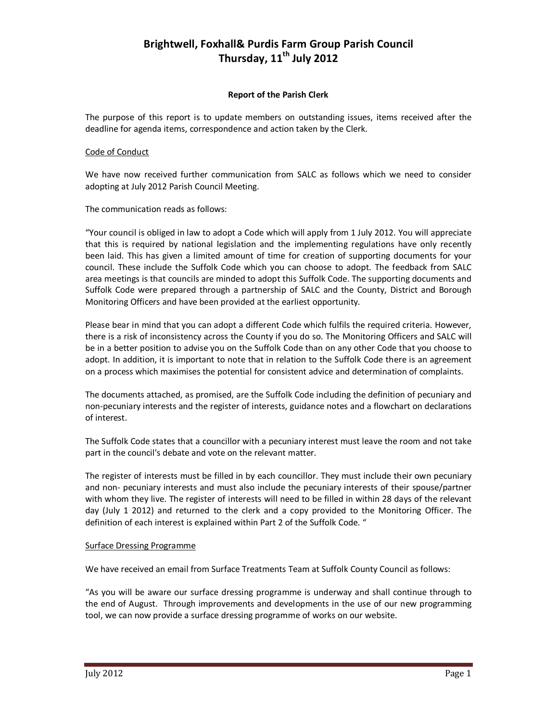## **Brightwell, Foxhall& Purdis Farm Group Parish Council Thursday, 11th July 2012**

## **Report of the Parish Clerk**

The purpose of this report is to update members on outstanding issues, items received after the deadline for agenda items, correspondence and action taken by the Clerk.

## Code of Conduct

We have now received further communication from SALC as follows which we need to consider adopting at July 2012 Parish Council Meeting.

The communication reads as follows:

"Your council is obliged in law to adopt a Code which will apply from 1 July 2012. You will appreciate that this is required by national legislation and the implementing regulations have only recently been laid. This has given a limited amount of time for creation of supporting documents for your council. These include the Suffolk Code which you can choose to adopt. The feedback from SALC area meetings is that councils are minded to adopt this Suffolk Code. The supporting documents and Suffolk Code were prepared through a partnership of SALC and the County, District and Borough Monitoring Officers and have been provided at the earliest opportunity.

Please bear in mind that you can adopt a different Code which fulfils the required criteria. However, there is a risk of inconsistency across the County if you do so. The Monitoring Officers and SALC will be in a better position to advise you on the Suffolk Code than on any other Code that you choose to adopt. In addition, it is important to note that in relation to the Suffolk Code there is an agreement on a process which maximises the potential for consistent advice and determination of complaints.

The documents attached, as promised, are the Suffolk Code including the definition of pecuniary and non-pecuniary interests and the register of interests, guidance notes and a flowchart on declarations of interest.

The Suffolk Code states that a councillor with a pecuniary interest must leave the room and not take part in the council's debate and vote on the relevant matter.

The register of interests must be filled in by each councillor. They must include their own pecuniary and non- pecuniary interests and must also include the pecuniary interests of their spouse/partner with whom they live. The register of interests will need to be filled in within 28 days of the relevant day (July 1 2012) and returned to the clerk and a copy provided to the Monitoring Officer. The definition of each interest is explained within Part 2 of the Suffolk Code. "

## Surface Dressing Programme

We have received an email from Surface Treatments Team at Suffolk County Council as follows:

"As you will be aware our surface dressing programme is underway and shall continue through to the end of August. Through improvements and developments in the use of our new programming tool, we can now provide a surface dressing programme of works on our website.